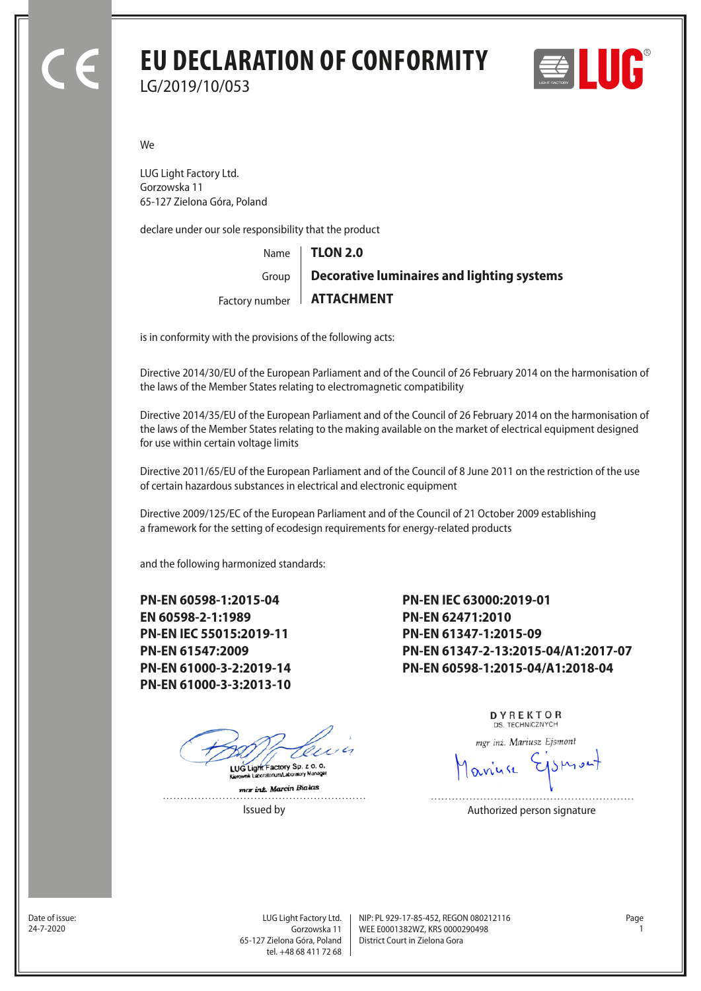## **EU DECLARATION OF CONFORMITY** LG/2019/10/053



We

LUG Light Factory Ltd. Gorzowska 11 65-127 Zielona Góra, Poland

declare under our sole responsibility that the product

Name Factory number **ATTACHMENT** Group **TLON 2.0 Decorative luminaires and lighting systems**

is in conformity with the provisions of the following acts:

Directive 2014/30/EU of the European Parliament and of the Council of 26 February 2014 on the harmonisation of the laws of the Member States relating to electromagnetic compatibility

Directive 2014/35/EU of the European Parliament and of the Council of 26 February 2014 on the harmonisation of the laws of the Member States relating to the making available on the market of electrical equipment designed for use within certain voltage limits

Directive 2011/65/EU of the European Parliament and of the Council of 8 June 2011 on the restriction of the use of certain hazardous substances in electrical and electronic equipment

Directive 2009/125/EC of the European Parliament and of the Council of 21 October 2009 establishing a framework for the setting of ecodesign requirements for energy-related products

and the following harmonized standards:

**PN-EN 60598-1:2015-04 EN 60598-2-1:1989 PN-EN IEC 55015:2019-11 PN-EN 61547:2009 PN-EN 61000-3-2:2019-14 PN-EN 61000-3-3:2013-10**

LUG Light Factory Sp. z o. o.

mar inz. Marcin Bialas

**PN-EN IEC 63000:2019-01 PN-EN 62471:2010 PN-EN 61347-1:2015-09 PN-EN 61347-2-13:2015-04/A1:2017-07 PN-EN 60598-1:2015-04/A1:2018-04**

> DYREKTOR DS. TECHNICZNYCH

mgr inż. Mariusz Ejsmont

Issued by **Authorized person signature** 

Date of issue:<br>24-7-2020

Gorzowska 11 65-127 Zielona Góra, Poland tel. +48 68 411 72 68

LUG Light Factory Ltd. Page NIP: PL 929-17-85-452, REGON 080212116 WEE E0001382WZ, KRS 0000290498 24-7-2020 1 District Court in Zielona Gora